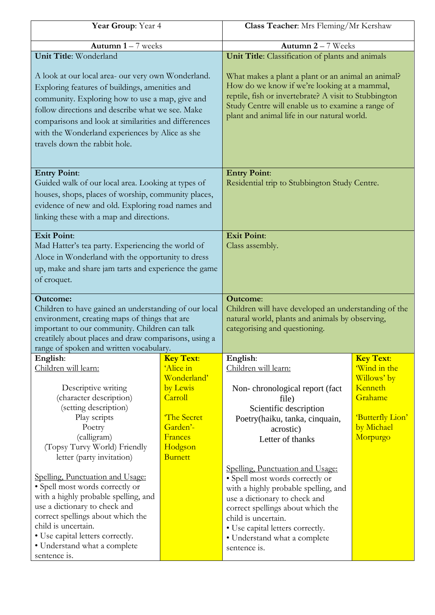| Year Group: Year 4                                                                                                                                                                                                                                                                                                                                      |                  | Class Teacher: Mrs Fleming/Mr Kershaw                                                                                                                                                                                                                                                        |                  |
|---------------------------------------------------------------------------------------------------------------------------------------------------------------------------------------------------------------------------------------------------------------------------------------------------------------------------------------------------------|------------------|----------------------------------------------------------------------------------------------------------------------------------------------------------------------------------------------------------------------------------------------------------------------------------------------|------------------|
| Autumn $1 - 7$ weeks                                                                                                                                                                                                                                                                                                                                    |                  | Autumn $2 - 7$ Weeks                                                                                                                                                                                                                                                                         |                  |
| Unit Title: Wonderland                                                                                                                                                                                                                                                                                                                                  |                  | Unit Title: Classification of plants and animals                                                                                                                                                                                                                                             |                  |
| A look at our local area- our very own Wonderland.<br>Exploring features of buildings, amenities and<br>community. Exploring how to use a map, give and<br>follow directions and describe what we see. Make<br>comparisons and look at similarities and differences<br>with the Wonderland experiences by Alice as she<br>travels down the rabbit hole. |                  | What makes a plant a plant or an animal an animal?<br>How do we know if we're looking at a mammal,<br>reptile, fish or invertebrate? A visit to Stubbington<br>Study Centre will enable us to examine a range of<br>plant and animal life in our natural world.                              |                  |
| <b>Entry Point:</b>                                                                                                                                                                                                                                                                                                                                     |                  | <b>Entry Point:</b>                                                                                                                                                                                                                                                                          |                  |
| Guided walk of our local area. Looking at types of                                                                                                                                                                                                                                                                                                      |                  | Residential trip to Stubbington Study Centre.                                                                                                                                                                                                                                                |                  |
| houses, shops, places of worship, community places,                                                                                                                                                                                                                                                                                                     |                  |                                                                                                                                                                                                                                                                                              |                  |
| evidence of new and old. Exploring road names and                                                                                                                                                                                                                                                                                                       |                  |                                                                                                                                                                                                                                                                                              |                  |
| linking these with a map and directions.                                                                                                                                                                                                                                                                                                                |                  |                                                                                                                                                                                                                                                                                              |                  |
| <b>Exit Point:</b>                                                                                                                                                                                                                                                                                                                                      |                  | <b>Exit Point:</b>                                                                                                                                                                                                                                                                           |                  |
| Mad Hatter's tea party. Experiencing the world of                                                                                                                                                                                                                                                                                                       |                  | Class assembly.                                                                                                                                                                                                                                                                              |                  |
| Aloce in Wonderland with the opportunity to dress                                                                                                                                                                                                                                                                                                       |                  |                                                                                                                                                                                                                                                                                              |                  |
| up, make and share jam tarts and experience the game                                                                                                                                                                                                                                                                                                    |                  |                                                                                                                                                                                                                                                                                              |                  |
| of croquet.                                                                                                                                                                                                                                                                                                                                             |                  |                                                                                                                                                                                                                                                                                              |                  |
|                                                                                                                                                                                                                                                                                                                                                         |                  |                                                                                                                                                                                                                                                                                              |                  |
| <b>Outcome:</b><br>Children to have gained an understanding of our local<br>environment, creating maps of things that are<br>important to our community. Children can talk<br>creatilely about places and draw comparisons, using a<br>range of spoken and written vocabulary.                                                                          |                  | <b>Outcome:</b><br>Children will have developed an understanding of the<br>natural world, plants and animals by observing,<br>categorising and questioning.                                                                                                                                  |                  |
| English:                                                                                                                                                                                                                                                                                                                                                | <b>Key Text:</b> | English:                                                                                                                                                                                                                                                                                     | <b>Key Text:</b> |
| Children will learn:                                                                                                                                                                                                                                                                                                                                    | 'Alice in        | Children will learn:                                                                                                                                                                                                                                                                         | 'Wind in the     |
|                                                                                                                                                                                                                                                                                                                                                         | Wonderland'      |                                                                                                                                                                                                                                                                                              | Willows' by      |
| Descriptive writing                                                                                                                                                                                                                                                                                                                                     | by Lewis         | Non-chronological report (fact                                                                                                                                                                                                                                                               | Kenneth          |
| (character description)<br>(setting description)                                                                                                                                                                                                                                                                                                        | Carroll          | file)<br>Scientific description                                                                                                                                                                                                                                                              | Grahame          |
| Play scripts                                                                                                                                                                                                                                                                                                                                            | The Secret       | Poetry(haiku, tanka, cinquain,                                                                                                                                                                                                                                                               | 'Butterfly Lion' |
| Poetry                                                                                                                                                                                                                                                                                                                                                  | Garden'-         | acrostic)                                                                                                                                                                                                                                                                                    | by Michael       |
| (calligram)                                                                                                                                                                                                                                                                                                                                             | Frances          | Letter of thanks                                                                                                                                                                                                                                                                             | Morpurgo         |
| (Topsy Turvy World) Friendly                                                                                                                                                                                                                                                                                                                            | Hodgson          |                                                                                                                                                                                                                                                                                              |                  |
| letter (party invitation)                                                                                                                                                                                                                                                                                                                               | <b>Burnett</b>   |                                                                                                                                                                                                                                                                                              |                  |
| Spelling, Punctuation and Usage:<br>• Spell most words correctly or<br>with a highly probable spelling, and<br>use a dictionary to check and<br>correct spellings about which the<br>child is uncertain.<br>• Use capital letters correctly.<br>· Understand what a complete                                                                            |                  | Spelling, Punctuation and Usage:<br>• Spell most words correctly or<br>with a highly probable spelling, and<br>use a dictionary to check and<br>correct spellings about which the<br>child is uncertain.<br>• Use capital letters correctly.<br>• Understand what a complete<br>sentence is. |                  |
| sentence is.                                                                                                                                                                                                                                                                                                                                            |                  |                                                                                                                                                                                                                                                                                              |                  |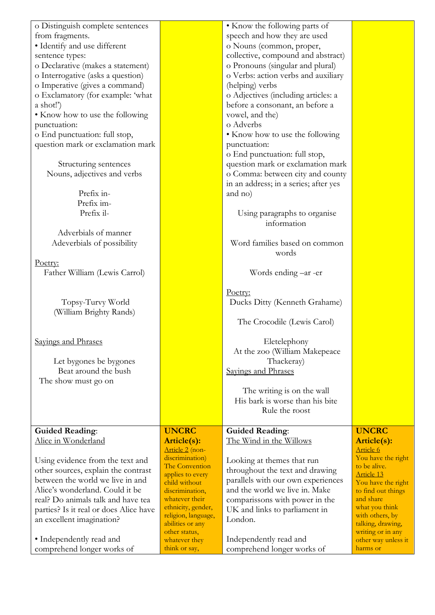| o Distinguish complete sentences               |                                      | • Know the following parts of                                 |                             |
|------------------------------------------------|--------------------------------------|---------------------------------------------------------------|-----------------------------|
| from fragments.                                |                                      | speech and how they are used                                  |                             |
| • Identify and use different                   |                                      | o Nouns (common, proper,                                      |                             |
| sentence types:                                |                                      | collective, compound and abstract)                            |                             |
| o Declarative (makes a statement)              |                                      | o Pronouns (singular and plural)                              |                             |
| o Interrogative (asks a question)              |                                      | o Verbs: action verbs and auxiliary                           |                             |
| o Imperative (gives a command)                 |                                      | (helping) verbs                                               |                             |
| o Exclamatory (for example: 'what              |                                      | o Adjectives (including articles: a                           |                             |
| a shot!')                                      |                                      | before a consonant, an before a                               |                             |
| • Know how to use the following                |                                      | vowel, and the)                                               |                             |
| punctuation:                                   |                                      | o Adverbs                                                     |                             |
| o End punctuation: full stop,                  |                                      | • Know how to use the following                               |                             |
| question mark or exclamation mark              |                                      | punctuation:                                                  |                             |
|                                                |                                      | o End punctuation: full stop,                                 |                             |
| Structuring sentences                          |                                      | question mark or exclamation mark                             |                             |
| Nouns, adjectives and verbs                    |                                      | o Comma: between city and county                              |                             |
|                                                |                                      | in an address; in a series; after yes                         |                             |
| Prefix in-                                     |                                      | and no)                                                       |                             |
| Prefix im-                                     |                                      |                                                               |                             |
| Prefix il-                                     |                                      | Using paragraphs to organise                                  |                             |
|                                                |                                      | information                                                   |                             |
| Adverbials of manner                           |                                      |                                                               |                             |
| Adeverbials of possibility                     |                                      | Word families based on common                                 |                             |
|                                                |                                      | words                                                         |                             |
| Poetry:                                        |                                      |                                                               |                             |
|                                                |                                      |                                                               |                             |
| Father William (Lewis Carrol)                  |                                      | Words ending -ar -er                                          |                             |
|                                                |                                      |                                                               |                             |
| Topsy-Turvy World                              |                                      | Poetry:<br>Ducks Ditty (Kenneth Grahame)                      |                             |
| (William Brighty Rands)                        |                                      |                                                               |                             |
|                                                |                                      |                                                               |                             |
|                                                |                                      | The Crocodile (Lewis Carol)                                   |                             |
| Savings and Phrases                            |                                      |                                                               |                             |
|                                                |                                      | Eletelephony                                                  |                             |
|                                                |                                      | At the zoo (William Makepeace                                 |                             |
| Let bygones be bygones<br>Beat around the bush |                                      | Thackeray)                                                    |                             |
|                                                |                                      | Sayings and Phrases                                           |                             |
| The show must go on                            |                                      |                                                               |                             |
|                                                |                                      | The writing is on the wall<br>His bark is worse than his bite |                             |
|                                                |                                      |                                                               |                             |
|                                                |                                      | Rule the roost                                                |                             |
|                                                | <b>UNCRC</b>                         |                                                               | <b>UNCRC</b>                |
| <b>Guided Reading:</b>                         |                                      | <b>Guided Reading:</b>                                        |                             |
| Alice in Wonderland                            | Article(s):<br>Article 2 (non-       | <u>The Wind in the Willows</u>                                | Article(s):<br>Article 6    |
|                                                | discrimination)                      |                                                               | You have the right          |
| Using evidence from the text and               | The Convention                       | Looking at themes that run                                    | to be alive.                |
| other sources, explain the contrast            | applies to every                     | throughout the text and drawing                               | Article 13                  |
| between the world we live in and               | child without                        | parallels with our own experiences                            | You have the right          |
| Alice's wonderland. Could it be                | discrimination,                      | and the world we live in. Make                                | to find out things          |
| real? Do animals talk and have tea             | whatever their<br>ethnicity, gender, | comparissons with power in the                                | and share<br>what you think |
| parties? Is it real or does Alice have         | religion, language,                  | UK and links to parliament in                                 | with others, by             |
| an excellent imagination?                      | abilities or any                     | London.                                                       | talking, drawing,           |
|                                                | other status,                        |                                                               | writing or in any           |
| • Independently read and                       | whatever they                        | Independently read and                                        | other way unless it         |
| comprehend longer works of                     | think or say,                        | comprehend longer works of                                    | harms or                    |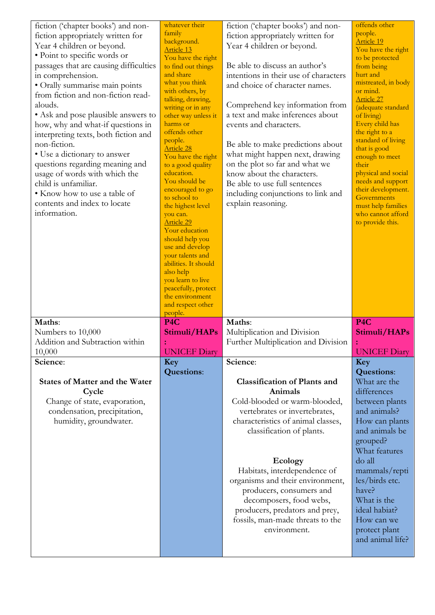| fiction ('chapter books') and non-<br>fiction appropriately written for<br>Year 4 children or beyond.<br>• Point to specific words or<br>passages that are causing difficulties<br>in comprehension.<br>• Orally summarise main points<br>from fiction and non-fiction read-<br>alouds.<br>• Ask and pose plausible answers to<br>how, why and what-if questions in<br>interpreting texts, both fiction and<br>non-fiction.<br>· Use a dictionary to answer<br>questions regarding meaning and<br>usage of words with which the<br>child is unfamiliar.<br>• Know how to use a table of<br>contents and index to locate<br>information. | whatever their<br>family<br>background.<br><b>Article 13</b><br>You have the right<br>to find out things<br>and share<br>what you think<br>with others, by<br>talking, drawing,<br>writing or in any<br>other way unless it<br>harms or<br>offends other<br>people.<br><b>Article 28</b><br>You have the right<br>to a good quality<br>education.<br>You should be<br>encouraged to go<br>to school to<br>the highest level<br>you can.<br><b>Article 29</b><br>Your education<br>should help you<br>use and develop<br>your talents and<br>abilities. It should<br>also help<br>you learn to live | fiction ('chapter books') and non-<br>fiction appropriately written for<br>Year 4 children or beyond.<br>Be able to discuss an author's<br>intentions in their use of characters<br>and choice of character names.<br>Comprehend key information from<br>a text and make inferences about<br>events and characters.<br>Be able to make predictions about<br>what might happen next, drawing<br>on the plot so far and what we<br>know about the characters.<br>Be able to use full sentences<br>including conjunctions to link and<br>explain reasoning. | offends other<br>people.<br><b>Article 19</b><br>You have the right<br>to be protected<br>from being<br>hurt and<br>mistreated, in body<br>or mind.<br><b>Article 27</b><br>(adequate standard<br>of living)<br>Every child has<br>the right to a<br>standard of living<br>that is good<br>enough to meet<br>their<br>physical and social<br>needs and support<br>their development.<br>Governments<br>must help families<br>who cannot afford<br>to provide this. |
|-----------------------------------------------------------------------------------------------------------------------------------------------------------------------------------------------------------------------------------------------------------------------------------------------------------------------------------------------------------------------------------------------------------------------------------------------------------------------------------------------------------------------------------------------------------------------------------------------------------------------------------------|----------------------------------------------------------------------------------------------------------------------------------------------------------------------------------------------------------------------------------------------------------------------------------------------------------------------------------------------------------------------------------------------------------------------------------------------------------------------------------------------------------------------------------------------------------------------------------------------------|----------------------------------------------------------------------------------------------------------------------------------------------------------------------------------------------------------------------------------------------------------------------------------------------------------------------------------------------------------------------------------------------------------------------------------------------------------------------------------------------------------------------------------------------------------|--------------------------------------------------------------------------------------------------------------------------------------------------------------------------------------------------------------------------------------------------------------------------------------------------------------------------------------------------------------------------------------------------------------------------------------------------------------------|
|                                                                                                                                                                                                                                                                                                                                                                                                                                                                                                                                                                                                                                         | peacefully, protect<br>the environment<br>and respect other<br>people.                                                                                                                                                                                                                                                                                                                                                                                                                                                                                                                             |                                                                                                                                                                                                                                                                                                                                                                                                                                                                                                                                                          |                                                                                                                                                                                                                                                                                                                                                                                                                                                                    |
| Maths:                                                                                                                                                                                                                                                                                                                                                                                                                                                                                                                                                                                                                                  | P <sub>4</sub> C                                                                                                                                                                                                                                                                                                                                                                                                                                                                                                                                                                                   | Maths:                                                                                                                                                                                                                                                                                                                                                                                                                                                                                                                                                   | P <sub>4C</sub>                                                                                                                                                                                                                                                                                                                                                                                                                                                    |
| Numbers to 10,000<br>Addition and Subtraction within                                                                                                                                                                                                                                                                                                                                                                                                                                                                                                                                                                                    | Stimuli/HAPs                                                                                                                                                                                                                                                                                                                                                                                                                                                                                                                                                                                       | Multiplication and Division<br>Further Multiplication and Division                                                                                                                                                                                                                                                                                                                                                                                                                                                                                       | Stimuli/HAPs                                                                                                                                                                                                                                                                                                                                                                                                                                                       |
| 10,000                                                                                                                                                                                                                                                                                                                                                                                                                                                                                                                                                                                                                                  | <b>UNICEF Diary</b>                                                                                                                                                                                                                                                                                                                                                                                                                                                                                                                                                                                |                                                                                                                                                                                                                                                                                                                                                                                                                                                                                                                                                          | <b>UNICEF Diary</b>                                                                                                                                                                                                                                                                                                                                                                                                                                                |
| Science:                                                                                                                                                                                                                                                                                                                                                                                                                                                                                                                                                                                                                                | Key                                                                                                                                                                                                                                                                                                                                                                                                                                                                                                                                                                                                | Science:                                                                                                                                                                                                                                                                                                                                                                                                                                                                                                                                                 | Key                                                                                                                                                                                                                                                                                                                                                                                                                                                                |
| <b>States of Matter and the Water</b><br>Cycle<br>Change of state, evaporation,<br>condensation, precipitation,<br>humidity, groundwater.                                                                                                                                                                                                                                                                                                                                                                                                                                                                                               | <b>Questions:</b>                                                                                                                                                                                                                                                                                                                                                                                                                                                                                                                                                                                  | <b>Classification of Plants and</b><br>Animals<br>Cold-blooded or warm-blooded,<br>vertebrates or invertebrates,<br>characteristics of animal classes,<br>classification of plants.<br>Ecology<br>Habitats, interdependence of<br>organisms and their environment,                                                                                                                                                                                                                                                                                       | <b>Questions:</b><br>What are the<br>differences<br>between plants<br>and animals?<br>How can plants<br>and animals be<br>grouped?<br>What features<br>do all<br>mammals/repti<br>les/birds etc.                                                                                                                                                                                                                                                                   |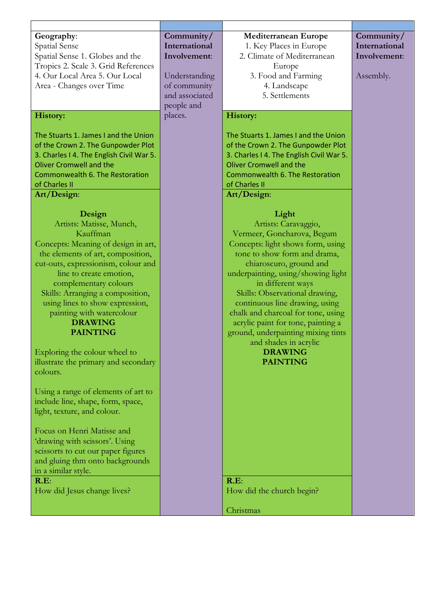| Geography:                               | Community/     | Mediterranean Europe                     | Community/    |
|------------------------------------------|----------------|------------------------------------------|---------------|
| Spatial Sense                            | International  | 1. Key Places in Europe                  | International |
| Spatial Sense 1. Globes and the          | Involvement:   | 2. Climate of Mediterranean              | Involvement:  |
| Tropics 2. Scale 3. Grid References      |                | Europe                                   |               |
| 4. Our Local Area 5. Our Local           | Understanding  | 3. Food and Farming                      | Assembly.     |
| Area - Changes over Time                 | of community   | 4. Landscape                             |               |
|                                          | and associated | 5. Settlements                           |               |
|                                          | people and     |                                          |               |
| <b>History:</b>                          | places.        | <b>History:</b>                          |               |
|                                          |                |                                          |               |
|                                          |                |                                          |               |
| The Stuarts 1. James I and the Union     |                | The Stuarts 1. James I and the Union     |               |
| of the Crown 2. The Gunpowder Plot       |                | of the Crown 2. The Gunpowder Plot       |               |
| 3. Charles I 4. The English Civil War 5. |                | 3. Charles I 4. The English Civil War 5. |               |
| <b>Oliver Cromwell and the</b>           |                | <b>Oliver Cromwell and the</b>           |               |
| Commonwealth 6. The Restoration          |                | Commonwealth 6. The Restoration          |               |
| of Charles II                            |                | of Charles II                            |               |
| Art/Design:                              |                | Art/Design:                              |               |
|                                          |                |                                          |               |
| Design                                   |                | Light                                    |               |
| Artists: Matisse, Munch,                 |                | Artists: Caravaggio,                     |               |
| Kauffman                                 |                | Vermeer, Goncharova, Begum               |               |
| Concepts: Meaning of design in art,      |                | Concepts: light shows form, using        |               |
| the elements of art, composition,        |                | tone to show form and drama,             |               |
| cut-outs, expressionism, colour and      |                | chiaroscuro, ground and                  |               |
| line to create emotion,                  |                | underpainting, using/showing light       |               |
| complementary colours                    |                | in different ways                        |               |
| Skills: Arranging a composition,         |                | Skills: Observational drawing,           |               |
| using lines to show expression,          |                | continuous line drawing, using           |               |
| painting with watercolour                |                | chalk and charcoal for tone, using       |               |
| <b>DRAWING</b>                           |                | acrylic paint for tone, painting a       |               |
| <b>PAINTING</b>                          |                | ground, underpainting mixing tints       |               |
|                                          |                | and shades in acrylic                    |               |
| Exploring the colour wheel to            |                | <b>DRAWING</b>                           |               |
| illustrate the primary and secondary     |                | <b>PAINTING</b>                          |               |
| colours.                                 |                |                                          |               |
|                                          |                |                                          |               |
| Using a range of elements of art to      |                |                                          |               |
| include line, shape, form, space,        |                |                                          |               |
| light, texture, and colour.              |                |                                          |               |
|                                          |                |                                          |               |
| Focus on Henri Matisse and               |                |                                          |               |
| 'drawing with scissors'. Using           |                |                                          |               |
| scissorts to cut our paper figures       |                |                                          |               |
| and gluing thm onto backgrounds          |                |                                          |               |
| in a similar style.                      |                |                                          |               |
| R.E:                                     |                | R.E:                                     |               |
| How did Jesus change lives?              |                | How did the church begin?                |               |
|                                          |                |                                          |               |
|                                          |                | Christmas                                |               |